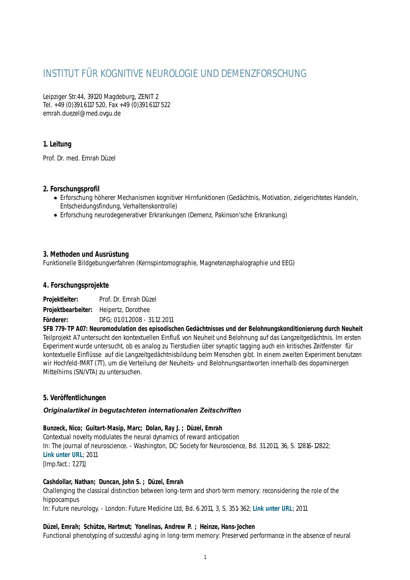# INSTITUT FÜR KOGNITIVE NEUROLOGIE UND DEMENZFORSCHUNG

Leipziger Str.44, 39120 Magdeburg, ZENIT 2 Tel. +49 (0)391 6117 520, Fax +49 (0)391 6117 522 emrah.duezel@med.ovgu.de

# **1. Leitung**

Prof. Dr. med. Emrah Düzel

# **2. Forschungsprofil**

- Erforschung höherer Mechanismen kognitiver Hirnfunktionen (Gedächtnis, Motivation, zielgerichtetes Handeln, Entscheidungsfindung, Verhaltenskontrolle)
- Erforschung neurodegenerativer Erkrankungen (Demenz, Pakinson'sche Erkrankung)

# **3. Methoden und Ausrüstung**

Funktionelle Bildgebungverfahren (Kernspintomographie, Magnetenzephalographie und EEG)

# **4. Forschungsprojekte**

**Projektleiter:** Prof. Dr. Emrah Düzel

**Projektbearbeiter:** Heipertz, Dorothee

**Förderer:** DFG; 01.01.2008 - 31.12.2011

**SFB 779-TP A07: Neuromodulation des episodischen Gedächtnisses und der Belohnungskonditionierung durch Neuheit** Teilprojekt A7 untersucht den kontextuellen Einfluß von Neuheit und Belohnung auf das Langzeitgedächtnis. Im ersten Experiment wurde untersucht, ob es analog zu Tierstudien über synaptic tagging auch ein kritisches Zeitfenster für kontextuelle Einflüsse auf die Langzeitgedächtnisbildung beim Menschen gibt. In einem zweiten Experiment benutzen wir Hochfeld-fMRT (7T), um die Verteilung der Neuheits- und Belohnungsantworten innerhalb des dopaminergen Mittelhirns (SN/VTA) zu untersuchen.

# **5. Veröffentlichungen**

# *Originalartikel in begutachteten internationalen Zeitschriften*

# **Bunzeck, Nico; Guitart-Masip, Marc; Dolan, Ray J. ; Düzel, Emrah**

Contextual novelty modulates the neural dynamics of reward anticipation In: The journal of neuroscience. - Washington, DC: Society for Neuroscience, Bd. 31.2011, 36, S. 12816-12822; **[Link unter URL](http://www.jneurosci.org/content/31/36/12816.abstract)**; 2011 [Imp.fact.: 7,271]

# **Cashdollar, Nathan; Duncan, John S. ; Düzel, Emrah**

Challenging the classical distinction between long-term and short-term memory: reconsidering the role of the hippocampus

In: Future neurology. - London: Future Medicine Ltd, Bd. 6.2011, 3, S. 351-362; **[Link unter URL](http://www.futuremedicine.com/doi/abs/10.2217/fnl.11.12)**; 2011

# **Düzel, Emrah; Schütze, Hartmut; Yonelinas, Andrew P. ; Heinze, Hans-Jochen**

Functional phenotyping of successful aging in long-term memory: Preserved performance in the absence of neural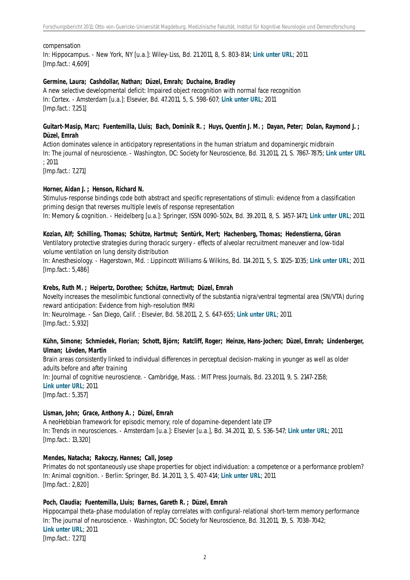#### compensation

In: Hippocampus. - New York, NY [u.a.]: Wiley-Liss, Bd. 21.2011, 8, S. 803-814; **[Link unter URL](http://onlinelibrary.wiley.com/doi/10.1002/hipo.20834/abstract)**; 2011 [Imp.fact.: 4,609]

#### **Germine, Laura; Cashdollar, Nathan; Düzel, Emrah; Duchaine, Bradley**

A new selective developmental deficit: Impaired object recognition with normal face recognition In: Cortex. - Amsterdam [u.a.]: Elsevier, Bd. 47.2011, 5, S. 598-607; **[Link unter URL](http://www.sciencedirect.com/science/journal/00109452/47/5)**; 2011 [Imp.fact.: 7,251]

### **Guitart-Masip, Marc; Fuentemilla, Lluis; Bach, Dominik R. ; Huys, Quentin J. M. ; Dayan, Peter; Dolan, Raymond J. ; Düzel, Emrah**

Action dominates valence in anticipatory representations in the human striatum and dopaminergic midbrain In: The journal of neuroscience. - Washington, DC: Society for Neuroscience, Bd. 31.2011, 21, S. 7867-7875; **[Link unter URL](http://www.jneurosci.org/content/31/21/7867.abstract)** ; 2011

[Imp.fact.: 7,271]

#### **Horner, Aidan J. ; Henson, Richard N.**

Stimulus-response bindings code both abstract and specific representations of stimuli: evidence from a classification priming design that reverses multiple levels of response representation

In: Memory & cognition. - Heidelberg [u.a.]: Springer, ISSN 0090-502x, Bd. 39.2011, 8, S. 1457-1471; **[Link unter URL](http://www.springerlink.com/content/c578m1h101qq47m5/)**; 2011

#### **Kozian, Alf; Schilling, Thomas; Schütze, Hartmut; Sentürk, Mert; Hachenberg, Thomas; Hedenstierna, Göran**

Ventilatory protective strategies during thoracic surgery - effects of alveolar recruitment maneuver and low-tidal volume ventilation on lung density distribution

In: Anesthesiology. - Hagerstown, Md. : Lippincott Williams & Wilkins, Bd. 114.2011, 5, S. 1025-1035; **[Link unter URL](http://ovidsp.tx.ovid.com/sp-3.4.0b/ovidweb.cgi?&S=MMIEFPPCDLDDAEDHNCCLICLBFDDNAA00&Abstract=S.sh.15.16.20%7c12%7c1)**; 2011 [Imp.fact.: 5,486]

#### **Krebs, Ruth M. ; Heipertz, Dorothee; Schütze, Hartmut; Düzel, Emrah**

Novelty increases the mesolimbic functional connectivity of the substantia nigra/ventral tegmental area (SN/VTA) during reward anticipation: Evidence from high-resolution fMRI

In: NeuroImage. - San Diego, Calif. : Elsevier, Bd. 58.2011, 2, S. 647-655; **[Link unter URL](http://www.sciencedirect.com/science/journal/10538119/58/2)**; 2011 [Imp.fact.: 5,932]

#### **Kühn, Simone; Schmiedek, Florian; Schott, Björn; Ratcliff, Roger; Heinze, Hans-Jochen; Düzel, Emrah; Lindenberger, Ulman; Lövden, Martin**

Brain areas consistently linked to individual differences in perceptual decision-making in younger as well as older adults before and after training

In: Journal of cognitive neuroscience. - Cambridge, Mass. : MIT Press Journals, Bd. 23.2011, 9, S. 2147-2158; **[Link unter URL](http://www.mitpressjournals.org/doi/abs/10.1162/jocn.2010.21564)**; 2011

[Imp.fact.: 5,357]

#### **Lisman, John; Grace, Anthony A. ; Düzel, Emrah**

A neoHebbian framework for episodic memory; role of dopamine-dependent late LTP In: Trends in neurosciences. - Amsterdam [u.a.]: Elsevier [u.a.], Bd. 34.2011, 10, S. 536-547; **[Link unter URL](http://www.sciencedirect.com/science/article/pii/S016622361100110X)**; 2011 [Imp.fact.: 13,320]

#### **Mendes, Natacha; Rakoczy, Hannes; Call, Josep**

Primates do not spontaneously use shape properties for object individuation: a competence or a performance problem? In: Animal cognition. - Berlin: Springer, Bd. 14.2011, 3, S. 407-414; **[Link unter URL](http://www.springerlink.com/content/h8nw0047375275l9/)**; 2011 [Imp.fact.: 2,820]

### **Poch, Claudia; Fuentemilla, Lluis; Barnes, Gareth R. ; Düzel, Emrah**

Hippocampal theta-phase modulation of replay correlates with configural-relational short-term memory performance In: The journal of neuroscience. - Washington, DC: Society for Neuroscience, Bd. 31.2011, 19, S. 7038-7042; **[Link unter URL](http://www.jneurosci.org/content/31/19/7038.abstract)**; 2011

[Imp.fact.: 7,271]